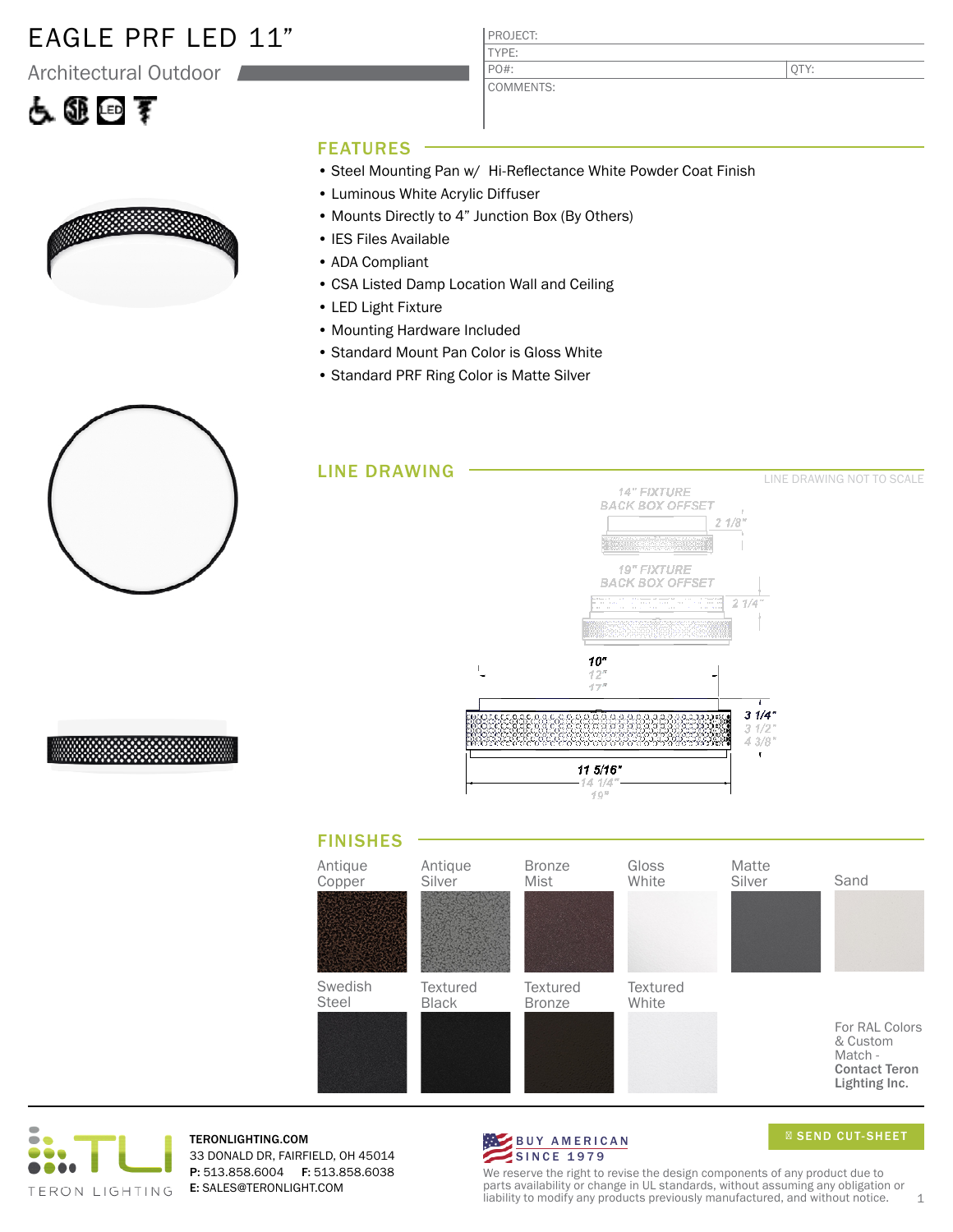### EAGLE PRF LED 11"

Architectural Outdoor

# 占匪回手



PROJECT: TYPE:

COMMENTS: PO#:

QTY:

#### FEATURES

- Steel Mounting Pan w/ Hi-Reflectance White Powder Coat Finish
- Luminous White Acrylic Diffuser
- Mounts Directly to 4" Junction Box (By Others)
- IES Files Available
- ADA Compliant
- CSA Listed Damp Location Wall and Ceiling
- LED Light Fixture
- Mounting Hardware Included
- Standard Mount Pan Color is Gloss White
- Standard PRF Ring Color is Matte Silver









TERONLIGHTING.COM 33 DONALD DR, FAIRFIELD, OH 45014 P: 513.858.6004 F: 513.858.6038 E: SALES@TERONLIGHT.COM



SEND CUT-SHEET

We reserve the right to revise the design components of any product due to parts availability or change in UL standards, without assuming any obligation or liability to modify any products previously manufactured, and without notice.  $1$